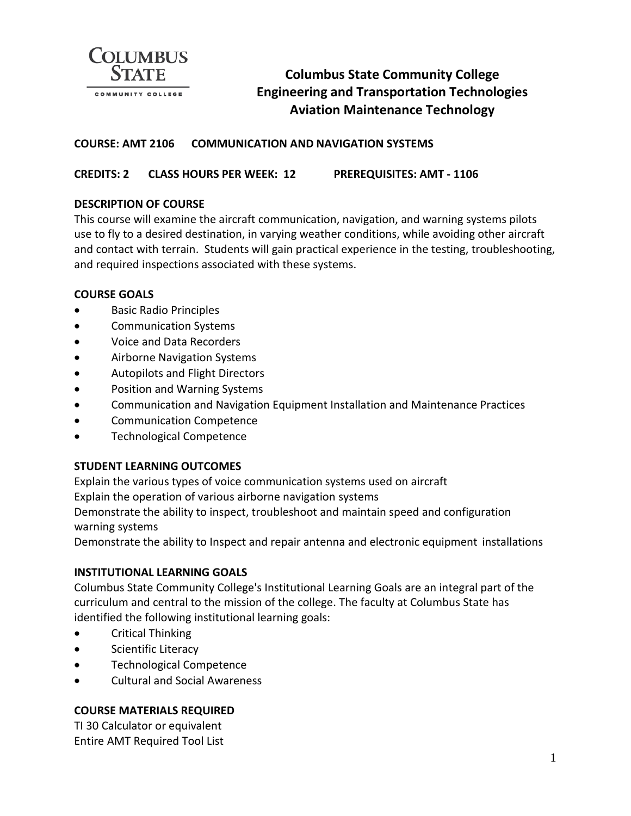

# **Columbus State Community College Engineering and Transportation Technologies Aviation Maintenance Technology**

### **COURSE: AMT 2106 COMMUNICATION AND NAVIGATION SYSTEMS**

**CREDITS: 2 CLASS HOURS PER WEEK: 12 PREREQUISITES: AMT - 1106**

### **DESCRIPTION OF COURSE**

This course will examine the aircraft communication, navigation, and warning systems pilots use to fly to a desired destination, in varying weather conditions, while avoiding other aircraft and contact with terrain. Students will gain practical experience in the testing, troubleshooting, and required inspections associated with these systems.

#### **COURSE GOALS**

- Basic Radio Principles
- Communication Systems
- Voice and Data Recorders
- Airborne Navigation Systems
- Autopilots and Flight Directors
- Position and Warning Systems
- Communication and Navigation Equipment Installation and Maintenance Practices
- Communication Competence
- Technological Competence

#### **STUDENT LEARNING OUTCOMES**

Explain the various types of voice communication systems used on aircraft

Explain the operation of various airborne navigation systems

Demonstrate the ability to inspect, troubleshoot and maintain speed and configuration warning systems

Demonstrate the ability to Inspect and repair antenna and electronic equipment installations

### **INSTITUTIONAL LEARNING GOALS**

Columbus State Community College's Institutional Learning Goals are an integral part of the curriculum and central to the mission of the college. The faculty at Columbus State has identified the following institutional learning goals:

- Critical Thinking
- Scientific Literacy
- Technological Competence
- Cultural and Social Awareness

### **COURSE MATERIALS REQUIRED**

TI 30 Calculator or equivalent Entire AMT Required Tool List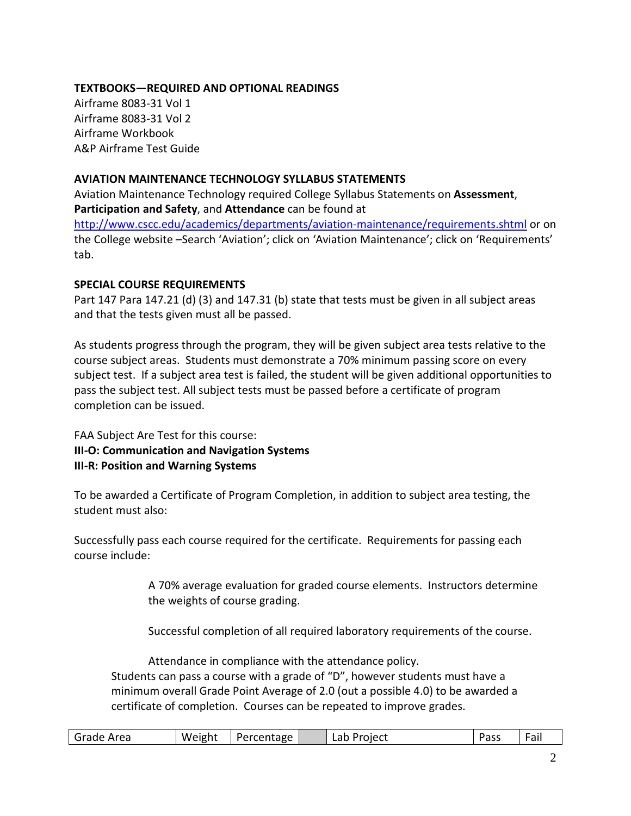### **TEXTBOOKS—REQUIRED AND OPTIONAL READINGS**

Airframe 8083-31 Vol 1 Airframe 8083-31 Vol 2 Airframe Workbook A&P Airframe Test Guide

### **AVIATION MAINTENANCE TECHNOLOGY SYLLABUS STATEMENTS**

Aviation Maintenance Technology required College Syllabus Statements on **Assessment**, **Participation and Safety**, and **Attendance** can be found at <http://www.cscc.edu/academics/departments/aviation-maintenance/requirements.shtml> or on the College website –Search 'Aviation'; click on 'Aviation Maintenance'; click on 'Requirements' tab.

## **SPECIAL COURSE REQUIREMENTS**

Part 147 Para 147.21 (d) (3) and 147.31 (b) state that tests must be given in all subject areas and that the tests given must all be passed.

As students progress through the program, they will be given subject area tests relative to the course subject areas. Students must demonstrate a 70% minimum passing score on every subject test. If a subject area test is failed, the student will be given additional opportunities to pass the subject test. All subject tests must be passed before a certificate of program completion can be issued.

FAA Subject Are Test for this course: **III-O: Communication and Navigation Systems III-R: Position and Warning Systems**

To be awarded a Certificate of Program Completion, in addition to subject area testing, the student must also:

Successfully pass each course required for the certificate. Requirements for passing each course include:

> A 70% average evaluation for graded course elements. Instructors determine the weights of course grading.

Successful completion of all required laboratory requirements of the course.

Attendance in compliance with the attendance policy. Students can pass a course with a grade of "D", however students must have a minimum overall Grade Point Average of 2.0 (out a possible 4.0) to be awarded a certificate of completion. Courses can be repeated to improve grades.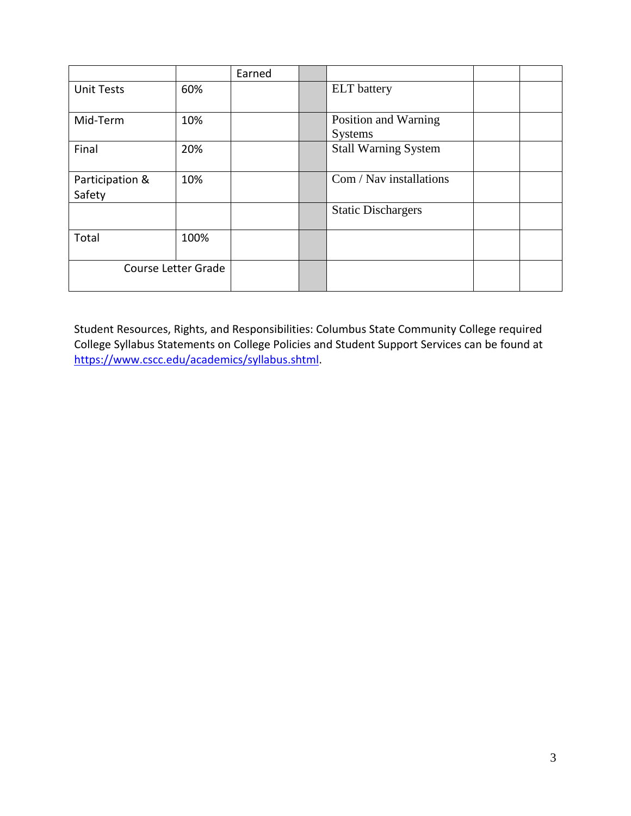|                            |      | Earned |                                        |  |  |
|----------------------------|------|--------|----------------------------------------|--|--|
| <b>Unit Tests</b>          | 60%  |        | <b>ELT</b> battery                     |  |  |
| Mid-Term                   | 10%  |        | Position and Warning<br><b>Systems</b> |  |  |
| Final                      | 20%  |        | <b>Stall Warning System</b>            |  |  |
| Participation &<br>Safety  | 10%  |        | Com / Nav installations                |  |  |
|                            |      |        | <b>Static Dischargers</b>              |  |  |
| Total                      | 100% |        |                                        |  |  |
| <b>Course Letter Grade</b> |      |        |                                        |  |  |

Student Resources, Rights, and Responsibilities: Columbus State Community College required College Syllabus Statements on College Policies and Student Support Services can be found at [https://www.cscc.edu/academics/syllabus.shtml.](https://www.cscc.edu/academics/syllabus.shtml)